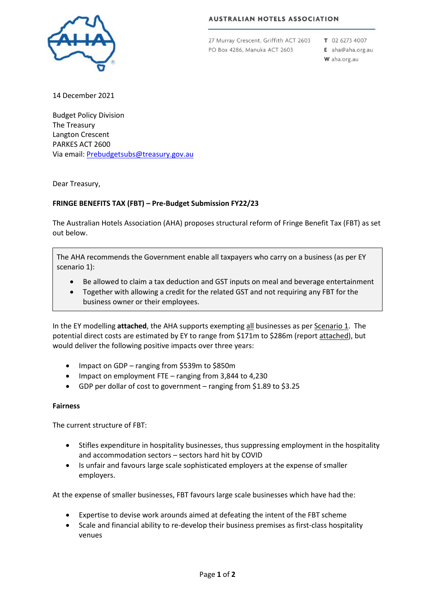#### **AUSTRALIAN HOTELS ASSOCIATION**



27 Murray Crescent, Griffith ACT 2603 PO Box 4286, Manuka ACT 2603

T 02 6273 4007 E aha@aha.org.au W aha.org.au

14 December 2021

Budget Policy Division The Treasury Langton Crescent PARKES ACT 2600 Via email[: Prebudgetsubs@treasury.gov.au](mailto:prebudgetsubs@treasury.gov.au)

Dear Treasury,

#### **FRINGE BENEFITS TAX (FBT) – Pre-Budget Submission FY22/23**

The Australian Hotels Association (AHA) proposes structural reform of Fringe Benefit Tax (FBT) as set out below.

The AHA recommends the Government enable all taxpayers who carry on a business (as per EY scenario 1):

- Be allowed to claim a tax deduction and GST inputs on meal and beverage entertainment
- Together with allowing a credit for the related GST and not requiring any FBT for the business owner or their employees.

In the EY modelling **attached**, the AHA supports exempting all businesses as per Scenario 1. The potential direct costs are estimated by EY to range from \$171m to \$286m (report attached), but would deliver the following positive impacts over three years:

- Impact on GDP ranging from \$539m to \$850m
- Impact on employment FTE ranging from 3,844 to 4,230
- GDP per dollar of cost to government ranging from \$1.89 to \$3.25

#### **Fairness**

The current structure of FBT:

- Stifles expenditure in hospitality businesses, thus suppressing employment in the hospitality and accommodation sectors – sectors hard hit by COVID
- Is unfair and favours large scale sophisticated employers at the expense of smaller employers.

At the expense of smaller businesses, FBT favours large scale businesses which have had the:

- Expertise to devise work arounds aimed at defeating the intent of the FBT scheme
- Scale and financial ability to re-develop their business premises as first-class hospitality venues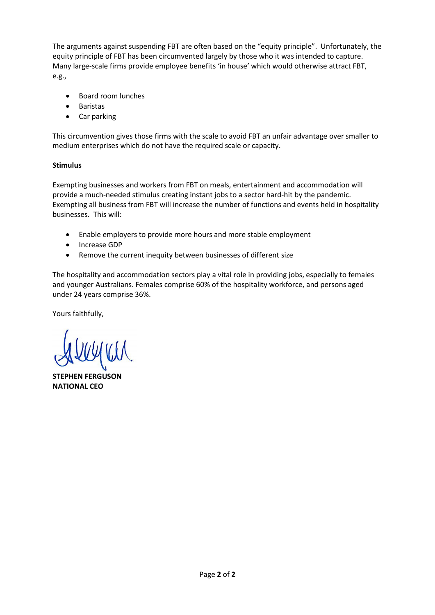The arguments against suspending FBT are often based on the "equity principle". Unfortunately, the equity principle of FBT has been circumvented largely by those who it was intended to capture. Many large-scale firms provide employee benefits 'in house' which would otherwise attract FBT, e.g.,

- Board room lunches
- Baristas
- Car parking

This circumvention gives those firms with the scale to avoid FBT an unfair advantage over smaller to medium enterprises which do not have the required scale or capacity.

#### **Stimulus**

Exempting businesses and workers from FBT on meals, entertainment and accommodation will provide a much-needed stimulus creating instant jobs to a sector hard-hit by the pandemic. Exempting all business from FBT will increase the number of functions and events held in hospitality businesses. This will:

- Enable employers to provide more hours and more stable employment
- Increase GDP
- Remove the current inequity between businesses of different size

The hospitality and accommodation sectors play a vital role in providing jobs, especially to females and younger Australians. Females comprise 60% of the hospitality workforce, and persons aged under 24 years comprise 36%.

Yours faithfully,

**STEPHEN FERGUSON NATIONAL CEO**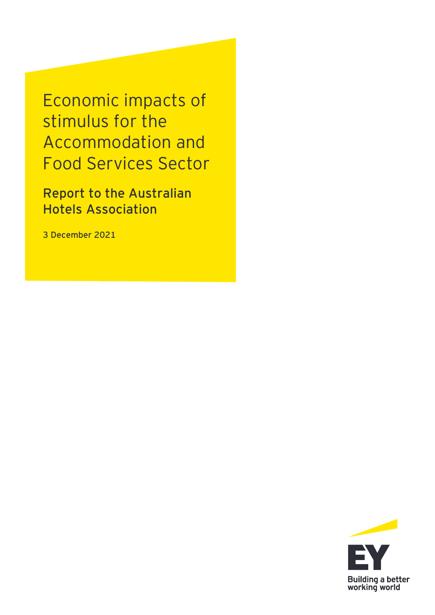Economic impacts of stimulus for the Accommodation and Food Services Sector

**Report to the Australian Hotels Association**

**3 December 2021**

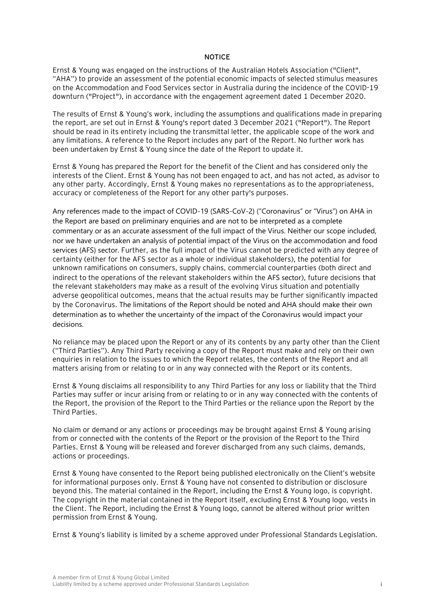#### **NOTICE**

Ernst & Young was engaged on the instructions of the Australian Hotels Association ("Client", "AHA") to provide an assessment of the potential economic impacts of selected stimulus measures on the Accommodation and Food Services sector in Australia during the incidence of the COVID-19 downturn ("Project"), in accordance with the engagement agreement dated 1 December 2020.

The results of Ernst & Young's work, including the assumptions and qualifications made in preparing the report, are set out in Ernst & Young's report dated 3 December 2021 ("Report"). The Report should be read in its entirety including the transmittal letter, the applicable scope of the work and any limitations. A reference to the Report includes any part of the Report. No further work has been undertaken by Ernst & Young since the date of the Report to update it.

Ernst & Young has prepared the Report for the benefit of the Client and has considered only the interests of the Client. Ernst & Young has not been engaged to act, and has not acted, as advisor to any other party. Accordingly, Ernst & Young makes no representations as to the appropriateness, accuracy or completeness of the Report for any other party's purposes.

Any references made to the impact of COVID-19 (SARS-CoV-2) ("Coronavirus" or "Virus") on AHA in the Report are based on preliminary enquiries and are not to be interpreted as a complete commentary or as an accurate assessment of the full impact of the Virus. Neither our scope included, nor we have undertaken an analysis of potential impact of the Virus on the accommodation and food services (AFS) sector. Further, as the full impact of the Virus cannot be predicted with any degree of certainty (either for the AFS sector as a whole or individual stakeholders), the potential for unknown ramifications on consumers, supply chains, commercial counterparties (both direct and indirect to the operations of the relevant stakeholders within the AFS sector), future decisions that the relevant stakeholders may make as a result of the evolving Virus situation and potentially adverse geopolitical outcomes, means that the actual results may be further significantly impacted by the Coronavirus. The limitations of the Report should be noted and AHA should make their own determination as to whether the uncertainty of the impact of the Coronavirus would impact your decisions.

No reliance may be placed upon the Report or any of its contents by any party other than the Client ("Third Parties"). Any Third Party receiving a copy of the Report must make and rely on their own enquiries in relation to the issues to which the Report relates, the contents of the Report and all matters arising from or relating to or in any way connected with the Report or its contents.

Ernst & Young disclaims all responsibility to any Third Parties for any loss or liability that the Third Parties may suffer or incur arising from or relating to or in any way connected with the contents of the Report, the provision of the Report to the Third Parties or the reliance upon the Report by the Third Parties.

No claim or demand or any actions or proceedings may be brought against Ernst & Young arising from or connected with the contents of the Report or the provision of the Report to the Third Parties. Ernst & Young will be released and forever discharged from any such claims, demands, actions or proceedings.

Ernst & Young have consented to the Report being published electronically on the Client's website for informational purposes only. Ernst & Young have not consented to distribution or disclosure beyond this. The material contained in the Report, including the Ernst & Young logo, is copyright. The copyright in the material contained in the Report itself, excluding Ernst & Young logo, vests in the Client. The Report, including the Ernst & Young logo, cannot be altered without prior written permission from Ernst & Young.

Ernst & Young's liability is limited by a scheme approved under Professional Standards Legislation.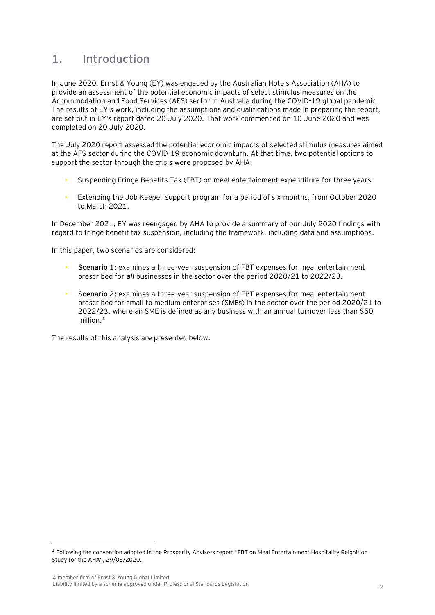## **1. Introduction**

In June 2020, Ernst & Young (EY) was engaged by the Australian Hotels Association (AHA) to provide an assessment of the potential economic impacts of select stimulus measures on the Accommodation and Food Services (AFS) sector in Australia during the COVID-19 global pandemic. The results of EY's work, including the assumptions and qualifications made in preparing the report, are set out in EY's report dated 20 July 2020. That work commenced on 10 June 2020 and was completed on 20 July 2020.

The July 2020 report assessed the potential economic impacts of selected stimulus measures aimed at the AFS sector during the COVID-19 economic downturn. At that time, two potential options to support the sector through the crisis were proposed by AHA:

- Suspending Fringe Benefits Tax (FBT) on meal entertainment expenditure for three years.
- Extending the Job Keeper support program for a period of six-months, from October 2020 to March 2021.

In December 2021, EY was reengaged by AHA to provide a summary of our July 2020 findings with regard to fringe benefit tax suspension, including the framework, including data and assumptions.

In this paper, two scenarios are considered:

- **Scenario 1:** examines a three-year suspension of FBT expenses for meal entertainment prescribed for *all* businesses in the sector over the period 2020/21 to 2022/23.
- **Scenario 2:** examines a three-year suspension of FBT expenses for meal entertainment prescribed for small to medium enterprises (SMEs) in the sector over the period 2020/21 to 2022/23, where an SME is defined as any business with an annual turnover less than \$50 million. $1$

The results of this analysis are presented below.

<sup>&</sup>lt;sup>1</sup> Following the convention adopted in the Prosperity Advisers report "FBT on Meal Entertainment Hospitality Reignition Study for the AHA", 29/05/2020.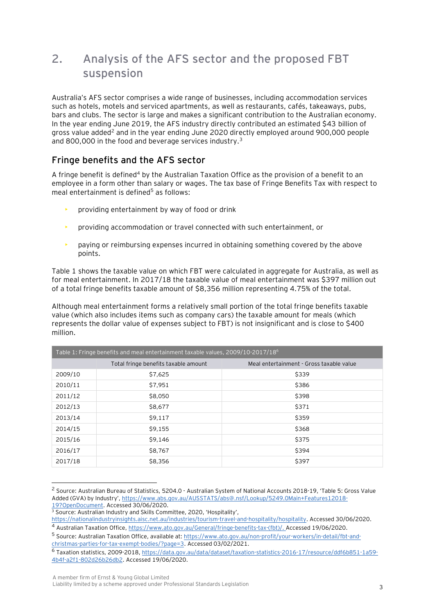# **2. Analysis of the AFS sector and the proposed FBT suspension**

Australia's AFS sector comprises a wide range of businesses, including accommodation services such as hotels, motels and serviced apartments, as well as restaurants, cafés, takeaways, pubs, bars and clubs. The sector is large and makes a significant contribution to the Australian economy. In the year ending June 2019, the AFS industry directly contributed an estimated \$43 billion of gross value added<sup>2</sup> and in the year ending June 2020 directly employed around 900,000 people and 800,000 in the food and beverage services industry.<sup>3</sup>

### **Fringe benefits and the AFS sector**

A fringe benefit is defined<sup>4</sup> by the Australian Taxation Office as the provision of a benefit to an employee in a form other than salary or wages. The tax base of Fringe Benefits Tax with respect to meal entertainment is defined<sup>5</sup> as follows:

- providing entertainment by way of food or drink
- providing accommodation or travel connected with such entertainment, or
- paying or reimbursing expenses incurred in obtaining something covered by the above points.

Table 1 shows the taxable value on which FBT were calculated in aggregate for Australia, as well as for meal entertainment. In 2017/18 the taxable value of meal entertainment was \$397 million out of a total fringe benefits taxable amount of \$8,356 million representing 4.75% of the total.

Although meal entertainment forms a relatively small portion of the total fringe benefits taxable value (which also includes items such as company cars) the taxable amount for meals (which represents the dollar value of expenses subject to FBT) is not insignificant and is close to \$400 million.

| Table 1: Fringe benefits and meal entertainment taxable values, 2009/10-2017/18 <sup>6</sup> |                                      |                                          |  |  |
|----------------------------------------------------------------------------------------------|--------------------------------------|------------------------------------------|--|--|
|                                                                                              | Total fringe benefits taxable amount | Meal entertainment - Gross taxable value |  |  |
| 2009/10                                                                                      | \$7,625                              | \$339                                    |  |  |
| 2010/11                                                                                      | \$7,951                              | \$386                                    |  |  |
| 2011/12                                                                                      | \$8,050                              | \$398                                    |  |  |
| 2012/13                                                                                      | \$8,677                              | \$371                                    |  |  |
| 2013/14                                                                                      | \$9,117                              | \$359                                    |  |  |
| 2014/15                                                                                      | \$9,155                              | \$368                                    |  |  |
| 2015/16                                                                                      | \$9,146                              | \$375                                    |  |  |
| 2016/17                                                                                      | \$8,767                              | \$394                                    |  |  |
| 2017/18                                                                                      | \$8,356                              | \$397                                    |  |  |

<sup>2</sup> Source: Australian Bureau of Statistics, 5204.0 - Australian System of National Accounts 2018-19, 'Table 5: Gross Value Added (GVA) by Industry', [https://www.abs.gov.au/AUSSTATS/abs@.nsf/Lookup/5249.0Main+Features12018-](https://www.abs.gov.au/AUSSTATS/abs@.nsf/Lookup/5249.0Main+Features12018-19?OpenDocument) [19?OpenDocument.](https://www.abs.gov.au/AUSSTATS/abs@.nsf/Lookup/5249.0Main+Features12018-19?OpenDocument) Accessed 30/06/2020.

<sup>&</sup>lt;sup>3</sup> Source: Australian Industry and Skills Committee, 2020, 'Hospitality',

[https://nationalindustryinsights.aisc.net.au/industries/tourism-travel-and-hospitality/hospitality.](https://nationalindustryinsights.aisc.net.au/industries/tourism-travel-and-hospitality/hospitality) Accessed 30/06/2020.

<sup>4</sup> Australian Taxation Office, [https://www.ato.gov.au/General/fringe-benefits-tax-\(fbt\)/.](https://www.ato.gov.au/General/fringe-benefits-tax-(fbt)/) Accessed 19/06/2020.

<sup>5</sup> Source: Australian Taxation Office, available at[: https://www.ato.gov.au/non-profit/your-workers/in-detail/fbt-and](https://www.ato.gov.au/non-profit/your-workers/in-detail/fbt-and-christmas-parties-for-tax-exempt-bodies/?page=3)[christmas-parties-for-tax-exempt-bodies/?page=3.](https://www.ato.gov.au/non-profit/your-workers/in-detail/fbt-and-christmas-parties-for-tax-exempt-bodies/?page=3) Accessed 03/02/2021.

<sup>6</sup> Taxation statistics, 2009-2018[, https://data.gov.au/data/dataset/taxation-statistics-2016-17/resource/ddf6b851-1a59-](https://data.gov.au/data/dataset/taxation-statistics-2016-17/resource/ddf6b851-1a59-4b4f-a2f1-802d26b26db2) [4b4f-a2f1-802d26b26db2.](https://data.gov.au/data/dataset/taxation-statistics-2016-17/resource/ddf6b851-1a59-4b4f-a2f1-802d26b26db2) Accessed 19/06/2020.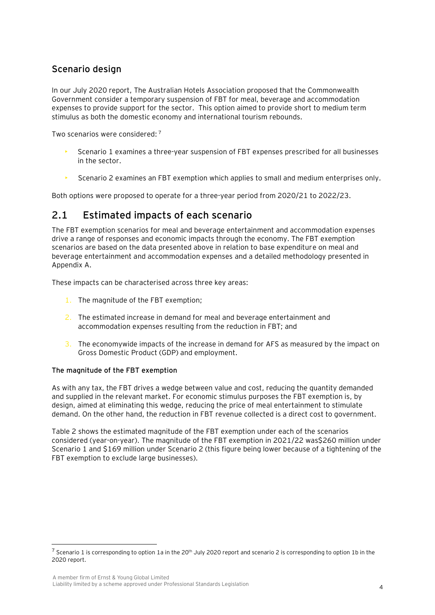### **Scenario design**

In our July 2020 report, The Australian Hotels Association proposed that the Commonwealth Government consider a temporary suspension of FBT for meal, beverage and accommodation expenses to provide support for the sector. This option aimed to provide short to medium term stimulus as both the domestic economy and international tourism rebounds.

Two scenarios were considered: <sup>7</sup>

- Scenario 1 examines a three-year suspension of FBT expenses prescribed for all businesses in the sector.
- Scenario 2 examines an FBT exemption which applies to small and medium enterprises only.

Both options were proposed to operate for a three-year period from 2020/21 to 2022/23.

### **2.1 Estimated impacts of each scenario**

The FBT exemption scenarios for meal and beverage entertainment and accommodation expenses drive a range of responses and economic impacts through the economy. The FBT exemption scenarios are based on the data presented above in relation to base expenditure on meal and beverage entertainment and accommodation expenses and a detailed methodology presented in Appendix A.

These impacts can be characterised across three key areas:

- 1. The magnitude of the FBT exemption;
- 2. The estimated increase in demand for meal and beverage entertainment and accommodation expenses resulting from the reduction in FBT; and
- 3. The economywide impacts of the increase in demand for AFS as measured by the impact on Gross Domestic Product (GDP) and employment.

#### **The magnitude of the FBT exemption**

As with any tax, the FBT drives a wedge between value and cost, reducing the quantity demanded and supplied in the relevant market. For economic stimulus purposes the FBT exemption is, by design, aimed at eliminating this wedge, reducing the price of meal entertainment to stimulate demand. On the other hand, the reduction in FBT revenue collected is a direct cost to government.

Table 2 shows the estimated magnitude of the FBT exemption under each of the scenarios considered (year-on-year). The magnitude of the FBT exemption in 2021/22 was\$260 million under Scenario 1 and \$169 million under Scenario 2 (this figure being lower because of a tightening of the FBT exemption to exclude large businesses).

 $^7$  Scenario 1 is corresponding to option 1a in the 20<sup>th</sup> July 2020 report and scenario 2 is corresponding to option 1b in the 2020 report.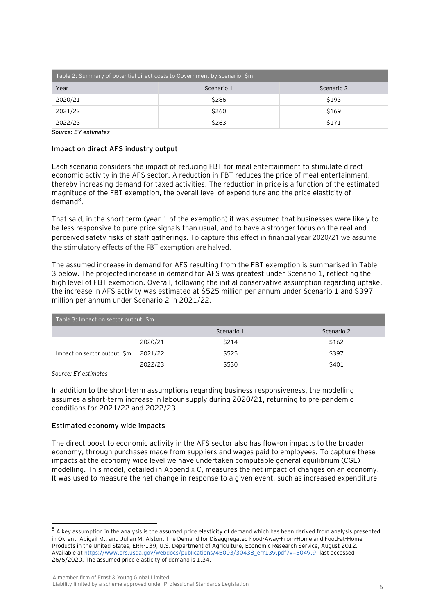| Table 2: Summary of potential direct costs to Government by scenario, \$m |            |            |  |
|---------------------------------------------------------------------------|------------|------------|--|
| Year                                                                      | Scenario 1 | Scenario 2 |  |
| 2020/21                                                                   | \$286      | \$193      |  |
| 2021/22                                                                   | \$260      | \$169      |  |
| 2022/23                                                                   | \$263      | \$171      |  |

*Source: EY estimates*

#### **Impact on direct AFS industry output**

Each scenario considers the impact of reducing FBT for meal entertainment to stimulate direct economic activity in the AFS sector. A reduction in FBT reduces the price of meal entertainment, thereby increasing demand for taxed activities. The reduction in price is a function of the estimated magnitude of the FBT exemption, the overall level of expenditure and the price elasticity of demand $^8$ .

That said, in the short term (year 1 of the exemption) it was assumed that businesses were likely to be less responsive to pure price signals than usual, and to have a stronger focus on the real and perceived safety risks of staff gatherings. To capture this effect in financial year 2020/21 we assume the stimulatory effects of the FBT exemption are halved.

The assumed increase in demand for AFS resulting from the FBT exemption is summarised in Table 3 below. The projected increase in demand for AFS was greatest under Scenario 1, reflecting the high level of FBT exemption. Overall, following the initial conservative assumption regarding uptake, the increase in AFS activity was estimated at \$525 million per annum under Scenario 1 and \$397 million per annum under Scenario 2 in 2021/22.

| Table 3: Impact on sector output, \$m |         |            |            |  |
|---------------------------------------|---------|------------|------------|--|
|                                       |         | Scenario 1 | Scenario 2 |  |
|                                       | 2020/21 | \$214      | \$162      |  |
| Impact on sector output, \$m          | 2021/22 | \$525      | \$397      |  |
|                                       | 2022/23 | \$530      | \$401      |  |

*Source: EY estimates*

In addition to the short-term assumptions regarding business responsiveness, the modelling assumes a short-term increase in labour supply during 2020/21, returning to pre-pandemic conditions for 2021/22 and 2022/23.

#### **Estimated economy wide impacts**

The direct boost to economic activity in the AFS sector also has flow-on impacts to the broader economy, through purchases made from suppliers and wages paid to employees. To capture these impacts at the economy wide level we have undertaken computable general equilibrium (CGE) modelling. This model, detailed in Appendix C, measures the net impact of changes on an economy. It was used to measure the net change in response to a given event, such as increased expenditure

 $8$  A kev assumption in the analysis is the assumed price elasticity of demand which has been derived from analysis presented in Okrent, Abigail M., and Julian M. Alston. The Demand for Disaggregated Food-Away-From-Home and Food-at-Home Products in the United States, ERR-139, U.S. Department of Agriculture, Economic Research Service, August 2012. Available a[t https://www.ers.usda.gov/webdocs/publications/45003/30438\\_err139.pdf?v=5049.9,](https://www.ers.usda.gov/webdocs/publications/45003/30438_err139.pdf?v=5049.9) last accessed 26/6/2020. The assumed price elasticity of demand is 1.34.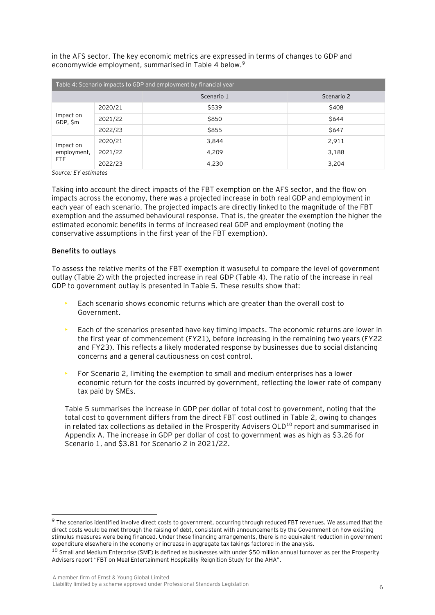in the AFS sector. The key economic metrics are expressed in terms of changes to GDP and economywide employment, summarised in Table 4 below.<sup>9</sup>

| Table 4: Scenario impacts to GDP and employment by financial year |         |            |            |
|-------------------------------------------------------------------|---------|------------|------------|
|                                                                   |         | Scenario 1 | Scenario 2 |
| Impact on<br>GDP, \$m                                             | 2020/21 | \$539      | \$408      |
|                                                                   | 2021/22 | \$850      | \$644      |
|                                                                   | 2022/23 | \$855      | \$647      |
| Impact on<br>employment,<br><b>FTE</b>                            | 2020/21 | 3.844      | 2,911      |
|                                                                   | 2021/22 | 4,209      | 3,188      |
|                                                                   | 2022/23 | 4,230      | 3,204      |

*Source: EY estimates*

Taking into account the direct impacts of the FBT exemption on the AFS sector, and the flow on impacts across the economy, there was a projected increase in both real GDP and employment in each year of each scenario. The projected impacts are directly linked to the magnitude of the FBT exemption and the assumed behavioural response. That is, the greater the exemption the higher the estimated economic benefits in terms of increased real GDP and employment (noting the conservative assumptions in the first year of the FBT exemption).

#### **Benefits to outlays**

To assess the relative merits of the FBT exemption it wasuseful to compare the level of government outlay (Table 2) with the projected increase in real GDP (Table 4). The ratio of the increase in real GDP to government outlay is presented in Table 5. These results show that:

- Each scenario shows economic returns which are greater than the overall cost to Government.
- Each of the scenarios presented have key timing impacts. The economic returns are lower in the first year of commencement (FY21), before increasing in the remaining two years (FY22 and FY23). This reflects a likely moderated response by businesses due to social distancing concerns and a general cautiousness on cost control.
- For Scenario 2, limiting the exemption to small and medium enterprises has a lower economic return for the costs incurred by government, reflecting the lower rate of company tax paid by SMEs.

Table 5 summarises the increase in GDP per dollar of total cost to government, noting that the total cost to government differs from the direct FBT cost outlined in Table 2, owing to changes in related tax collections as detailed in the Prosperity Advisers  $QLD^{10}$  report and summarised in Appendix A. The increase in GDP per dollar of cost to government was as high as \$3.26 for Scenario 1, and \$3.81 for Scenario 2 in 2021/22.

<sup>&</sup>lt;sup>9</sup> The scenarios identified involve direct costs to government, occurring through reduced FBT revenues. We assumed that the direct costs would be met through the raising of debt, consistent with announcements by the Government on how existing stimulus measures were being financed. Under these financing arrangements, there is no equivalent reduction in government expenditure elsewhere in the economy or increase in aggregate tax takings factored in the analysis.

<sup>10</sup> Small and Medium Enterprise (SME) is defined as businesses with under \$50 million annual turnover as per the Prosperity Advisers report "FBT on Meal Entertainment Hospitality Reignition Study for the AHA".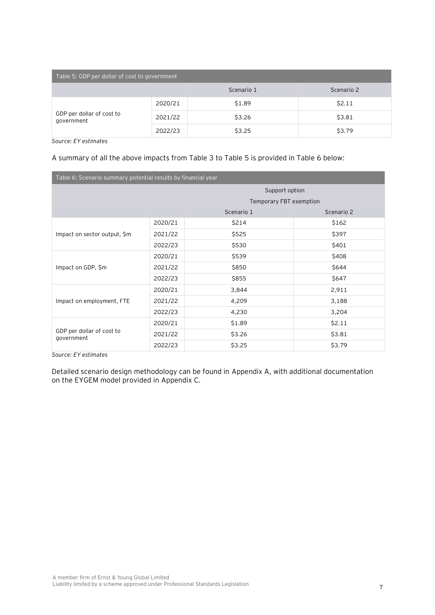| Table 5: GDP per dollar of cost to government |         |            |            |  |
|-----------------------------------------------|---------|------------|------------|--|
|                                               |         | Scenario 1 | Scenario 2 |  |
|                                               | 2020/21 | \$1.89     | \$2.11     |  |
| GDP per dollar of cost to<br>government       | 2021/22 | \$3.26     | \$3.81     |  |
|                                               | 2022/23 | \$3.25     | \$3.79     |  |

*Source: EY estimates*

#### A summary of all the above impacts from Table 3 to Table 5 is provided in Table 6 below:

| Table 6: Scenario summary potential results by financial year |         |                         |            |  |
|---------------------------------------------------------------|---------|-------------------------|------------|--|
|                                                               |         | Support option          |            |  |
|                                                               |         | Temporary FBT exemption |            |  |
|                                                               |         | Scenario 1              | Scenario 2 |  |
|                                                               | 2020/21 | \$214                   | \$162      |  |
| Impact on sector output, \$m                                  | 2021/22 | \$525                   | \$397      |  |
|                                                               | 2022/23 | \$530                   | \$401      |  |
|                                                               | 2020/21 | \$539                   | \$408      |  |
| Impact on GDP, \$m                                            | 2021/22 | \$850                   | \$644      |  |
|                                                               | 2022/23 | \$855                   | \$647      |  |
|                                                               | 2020/21 | 3,844                   | 2,911      |  |
| Impact on employment, FTE                                     | 2021/22 | 4,209                   | 3,188      |  |
|                                                               | 2022/23 | 4,230                   | 3,204      |  |
|                                                               | 2020/21 | \$1.89                  | \$2.11     |  |
| GDP per dollar of cost to<br>government                       | 2021/22 | \$3.26                  | \$3.81     |  |
|                                                               | 2022/23 | \$3.25                  | \$3.79     |  |

*Source: EY estimates*

Detailed scenario design methodology can be found in Appendix A, with additional documentation on the EYGEM model provided in Appendix C.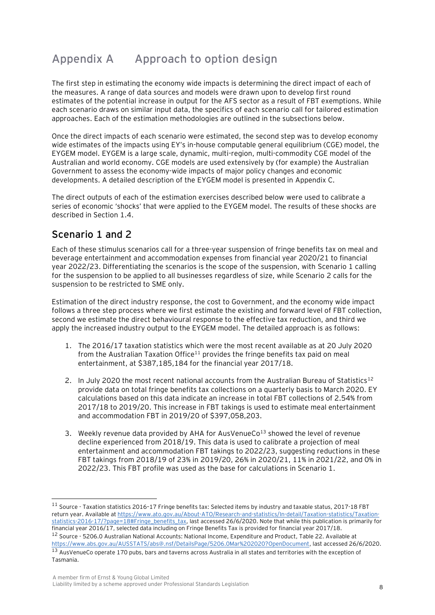# **Appendix A Approach to option design**

The first step in estimating the economy wide impacts is determining the direct impact of each of the measures. A range of data sources and models were drawn upon to develop first round estimates of the potential increase in output for the AFS sector as a result of FBT exemptions. While each scenario draws on similar input data, the specifics of each scenario call for tailored estimation approaches. Each of the estimation methodologies are outlined in the subsections below.

Once the direct impacts of each scenario were estimated, the second step was to develop economy wide estimates of the impacts using EY's in-house computable general equilibrium (CGE) model, the EYGEM model. EYGEM is a large scale, dynamic, multi-region, multi-commodity CGE model of the Australian and world economy. CGE models are used extensively by (for example) the Australian Government to assess the economy-wide impacts of major policy changes and economic developments. A detailed description of the EYGEM model is presented in Appendix C.

The direct outputs of each of the estimation exercises described below were used to calibrate a series of economic 'shocks' that were applied to the EYGEM model. The results of these shocks are described in Section 1.4.

## **Scenario 1 and 2**

Each of these stimulus scenarios call for a three-year suspension of fringe benefits tax on meal and beverage entertainment and accommodation expenses from financial year 2020/21 to financial year 2022/23. Differentiating the scenarios is the scope of the suspension, with Scenario 1 calling for the suspension to be applied to all businesses regardless of size, while Scenario 2 calls for the suspension to be restricted to SME only.

Estimation of the direct industry response, the cost to Government, and the economy wide impact follows a three step process where we first estimate the existing and forward level of FBT collection, second we estimate the direct behavioural response to the effective tax reduction, and third we apply the increased industry output to the EYGEM model. The detailed approach is as follows:

- 1. The 2016/17 taxation statistics which were the most recent available as at 20 July 2020 from the Australian Taxation Office<sup>11</sup> provides the fringe benefits tax paid on meal entertainment, at \$387,185,184 for the financial year 2017/18.
- 2. In July 2020 the most recent national accounts from the Australian Bureau of Statistics<sup>12</sup> provide data on total fringe benefits tax collections on a quarterly basis to March 2020. EY calculations based on this data indicate an increase in total FBT collections of 2.54% from 2017/18 to 2019/20. This increase in FBT takings is used to estimate meal entertainment and accommodation FBT in 2019/20 of \$397,058,203.
- 3. Weekly revenue data provided by AHA for AusVenueCo<sup>13</sup> showed the level of revenue decline experienced from 2018/19. This data is used to calibrate a projection of meal entertainment and accommodation FBT takings to 2022/23, suggesting reductions in these FBT takings from 2018/19 of 23% in 2019/20, 26% in 2020/21, 11% in 2021/22, and 0% in 2022/23. This FBT profile was used as the base for calculations in Scenario 1.

<sup>&</sup>lt;sup>11</sup> Source - Taxation statistics 2016-17 Fringe benefits tax: Selected items by industry and taxable status, 2017-18 FBT return year. Available a[t https://www.ato.gov.au/About-ATO/Research-and-statistics/In-detail/Taxation-statistics/Taxation](https://www.ato.gov.au/About-ATO/Research-and-statistics/In-detail/Taxation-statistics/Taxation-statistics-2016-17/?page=18#Fringe_benefits_tax)[statistics-2016-17/?page=18#Fringe\\_benefits\\_tax,](https://www.ato.gov.au/About-ATO/Research-and-statistics/In-detail/Taxation-statistics/Taxation-statistics-2016-17/?page=18#Fringe_benefits_tax) last accessed 26/6/2020. Note that while this publication is primarily for financial year 2016/17, selected data including on Fringe Benefits Tax is provided for financial year 2017/18. <sup>12</sup> Source - 5206.0 Australian National Accounts: National Income, Expenditure and Product, Table 22. Available at [https://www.abs.gov.au/AUSSTATS/abs@.nsf/DetailsPage/5206.0Mar%202020?OpenDocument,](https://www.abs.gov.au/AUSSTATS/abs@.nsf/DetailsPage/5206.0Mar%202020?OpenDocument) last accessed 26/6/2020.

<sup>13</sup> AusVenueCo operate 170 pubs, bars and taverns across Australia in all states and territories with the exception of Tasmania.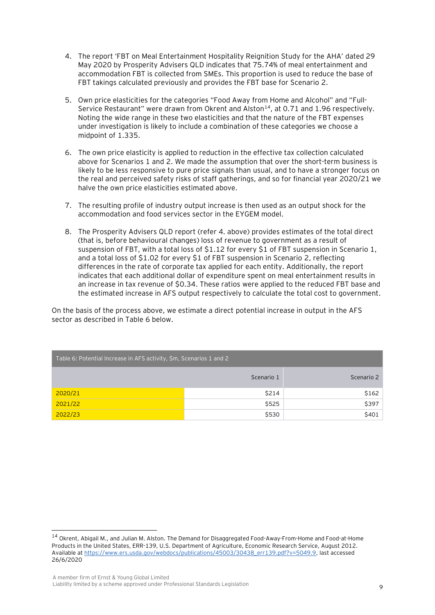- 4. The report 'FBT on Meal Entertainment Hospitality Reignition Study for the AHA' dated 29 May 2020 by Prosperity Advisers QLD indicates that 75.74% of meal entertainment and accommodation FBT is collected from SMEs. This proportion is used to reduce the base of FBT takings calculated previously and provides the FBT base for Scenario 2.
- 5. Own price elasticities for the categories "Food Away from Home and Alcohol" and "Full-Service Restaurant" were drawn from Okrent and Alston<sup>14</sup>, at 0.71 and 1.96 respectively. Noting the wide range in these two elasticities and that the nature of the FBT expenses under investigation is likely to include a combination of these categories we choose a midpoint of 1.335.
- 6. The own price elasticity is applied to reduction in the effective tax collection calculated above for Scenarios 1 and 2. We made the assumption that over the short-term business is likely to be less responsive to pure price signals than usual, and to have a stronger focus on the real and perceived safety risks of staff gatherings, and so for financial year 2020/21 we halve the own price elasticities estimated above.
- 7. The resulting profile of industry output increase is then used as an output shock for the accommodation and food services sector in the EYGEM model.
- 8. The Prosperity Advisers QLD report (refer 4. above) provides estimates of the total direct (that is, before behavioural changes) loss of revenue to government as a result of suspension of FBT, with a total loss of \$1.12 for every \$1 of FBT suspension in Scenario 1, and a total loss of \$1.02 for every \$1 of FBT suspension in Scenario 2, reflecting differences in the rate of corporate tax applied for each entity. Additionally, the report indicates that each additional dollar of expenditure spent on meal entertainment results in an increase in tax revenue of \$0.34. These ratios were applied to the reduced FBT base and the estimated increase in AFS output respectively to calculate the total cost to government.

On the basis of the process above, we estimate a direct potential increase in output in the AFS sector as described in Table 6 below.

| Table 6: Potential Increase in AFS activity, \$m, Scenarios 1 and 2 |            |            |  |
|---------------------------------------------------------------------|------------|------------|--|
|                                                                     | Scenario 1 | Scenario 2 |  |
| 2020/21                                                             | \$214      | \$162      |  |
| 2021/22                                                             | \$525      | \$397      |  |
| 2022/23                                                             | \$530      | \$401      |  |

<sup>14</sup> Okrent, Abigail M., and Julian M. Alston. The Demand for Disaggregated Food-Away-From-Home and Food-at-Home Products in the United States, ERR-139, U.S. Department of Agriculture, Economic Research Service, August 2012. Available a[t https://www.ers.usda.gov/webdocs/publications/45003/30438\\_err139.pdf?v=5049.9,](https://www.ers.usda.gov/webdocs/publications/45003/30438_err139.pdf?v=5049.9) last accessed 26/6/2020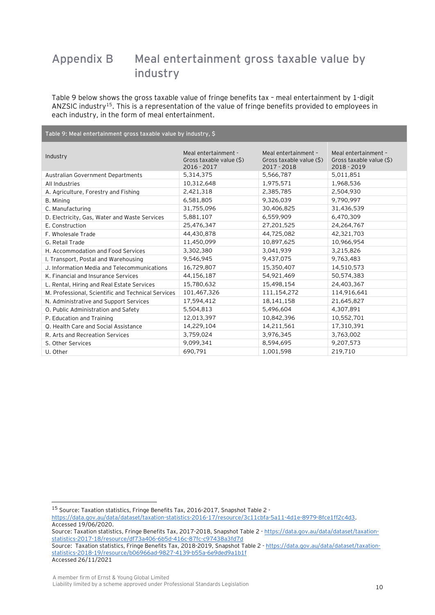# **Appendix B Meal entertainment gross taxable value by industry**

Table 9 below shows the gross taxable value of fringe benefits tax – meal entertainment by 1-digit ANZSIC industry<sup>15</sup>. This is a representation of the value of fringe benefits provided to employees in each industry, in the form of meal entertainment.

**Table 9: Meal entertainment gross taxable value by industry, \$**

| Industry                                           | Meal entertainment -<br>Gross taxable value (\$)<br>2016 - 2017 | Meal entertainment -<br>Gross taxable value (\$)<br>2017 - 2018 | Meal entertainment -<br>Gross taxable value (\$)<br>2018 - 2019 |
|----------------------------------------------------|-----------------------------------------------------------------|-----------------------------------------------------------------|-----------------------------------------------------------------|
| Australian Government Departments                  | 5,314,375                                                       | 5,566,787                                                       | 5,011,851                                                       |
| All Industries                                     | 10,312,648                                                      | 1,975,571                                                       | 1,968,536                                                       |
| A. Agriculture, Forestry and Fishing               | 2,421,318                                                       | 2,385,785                                                       | 2,504,930                                                       |
| B. Mining                                          | 6,581,805                                                       | 9,326,039                                                       | 9.790.997                                                       |
| C. Manufacturing                                   | 31,755,096                                                      | 30,406,825                                                      | 31,436,539                                                      |
| D. Electricity, Gas, Water and Waste Services      | 5,881,107                                                       | 6,559,909                                                       | 6,470,309                                                       |
| E. Construction                                    | 25,476,347                                                      | 27,201,525                                                      | 24,264,767                                                      |
| F. Wholesale Trade                                 | 44,430,878                                                      | 44,725,082                                                      | 42,321,703                                                      |
| G. Retail Trade                                    | 11,450,099                                                      | 10,897,625                                                      | 10,966,954                                                      |
| H. Accommodation and Food Services                 | 3,302,380                                                       | 3,041,939                                                       | 3,215,826                                                       |
| I. Transport, Postal and Warehousing               | 9,546,945                                                       | 9,437,075                                                       | 9,763,483                                                       |
| J. Information Media and Telecommunications        | 16,729,807                                                      | 15,350,407                                                      | 14,510,573                                                      |
| K. Financial and Insurance Services                | 44,156,187                                                      | 54.921.469                                                      | 50,574,383                                                      |
| L. Rental, Hiring and Real Estate Services         | 15,780,632                                                      | 15,498,154                                                      | 24,403,367                                                      |
| M. Professional, Scientific and Technical Services | 101,467,326                                                     | 111,154,272                                                     | 114,916,641                                                     |
| N. Administrative and Support Services             | 17,594,412                                                      | 18,141,158                                                      | 21,645,827                                                      |
| O. Public Administration and Safety                | 5,504,813                                                       | 5,496,604                                                       | 4,307,891                                                       |
| P. Education and Training                          | 12,013,397                                                      | 10,842,396                                                      | 10,552,701                                                      |
| Q. Health Care and Social Assistance               | 14,229,104                                                      | 14,211,561                                                      | 17,310,391                                                      |
| R. Arts and Recreation Services                    | 3,759,024                                                       | 3,976,345                                                       | 3,763,002                                                       |
| S. Other Services                                  | 9.099.341                                                       | 8,594,695                                                       | 9,207,573                                                       |
| U. Other                                           | 690,791                                                         | 1,001,598                                                       | 219,710                                                         |

Source: Taxation statistics, Fringe Benefits Tax, 2018-2019, Snapshot Table 2 - [https://data.gov.au/data/dataset/taxation](https://data.gov.au/data/dataset/taxation-statistics-2018-19/resource/b06966ad-9827-4139-b55a-6e9ded9a1b1f)[statistics-2018-19/resource/b06966ad-9827-4139-b55a-6e9ded9a1b1f](https://data.gov.au/data/dataset/taxation-statistics-2018-19/resource/b06966ad-9827-4139-b55a-6e9ded9a1b1f) Accessed 26/11/2021

<sup>15</sup> Source: Taxation statistics, Fringe Benefits Tax, 2016-2017, Snapshot Table 2 -

[https://data.gov.au/data/dataset/taxation-statistics-2016-17/resource/3c11cbfa-5a11-4d1e-8979-8fce1ff2c4d3.](https://data.gov.au/data/dataset/taxation-statistics-2016-17/resource/3c11cbfa-5a11-4d1e-8979-8fce1ff2c4d3) Accessed 19/06/2020.

Source: Taxation statistics, Fringe Benefits Tax, 2017-2018, Snapshot Table 2 - [https://data.gov.au/data/dataset/taxation](https://data.gov.au/data/dataset/taxation-statistics-2017-18/resource/df73a406-6b5d-416c-87fc-c97438a3fd7d)[statistics-2017-18/resource/df73a406-6b5d-416c-87fc-c97438a3fd7d](https://data.gov.au/data/dataset/taxation-statistics-2017-18/resource/df73a406-6b5d-416c-87fc-c97438a3fd7d)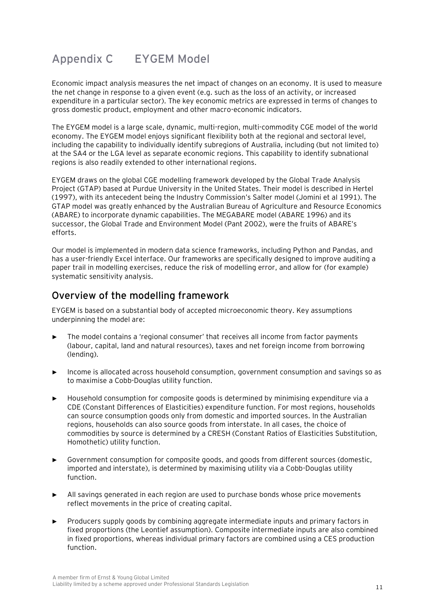# **Appendix C EYGEM Model**

Economic impact analysis measures the net impact of changes on an economy. It is used to measure the net change in response to a given event (e.g. such as the loss of an activity, or increased expenditure in a particular sector). The key economic metrics are expressed in terms of changes to gross domestic product, employment and other macro-economic indicators.

The EYGEM model is a large scale, dynamic, multi-region, multi-commodity CGE model of the world economy. The EYGEM model enjoys significant flexibility both at the regional and sectoral level, including the capability to individually identify subregions of Australia, including (but not limited to) at the SA4 or the LGA level as separate economic regions. This capability to identify subnational regions is also readily extended to other international regions.

EYGEM draws on the global CGE modelling framework developed by the Global Trade Analysis Project (GTAP) based at Purdue University in the United States. Their model is described in Hertel (1997), with its antecedent being the Industry Commission's Salter model (Jomini et al 1991). The GTAP model was greatly enhanced by the Australian Bureau of Agriculture and Resource Economics (ABARE) to incorporate dynamic capabilities. The MEGABARE model (ABARE 1996) and its successor, the Global Trade and Environment Model (Pant 2002), were the fruits of ABARE's efforts.

Our model is implemented in modern data science frameworks, including Python and Pandas, and has a user-friendly Excel interface. Our frameworks are specifically designed to improve auditing a paper trail in modelling exercises, reduce the risk of modelling error, and allow for (for example) systematic sensitivity analysis.

### **Overview of the modelling framework**

EYGEM is based on a substantial body of accepted microeconomic theory. Key assumptions underpinning the model are:

- The model contains a 'regional consumer' that receives all income from factor payments (labour, capital, land and natural resources), taxes and net foreign income from borrowing (lending).
- ► Income is allocated across household consumption, government consumption and savings so as to maximise a Cobb-Douglas utility function.
- ► Household consumption for composite goods is determined by minimising expenditure via a CDE (Constant Differences of Elasticities) expenditure function. For most regions, households can source consumption goods only from domestic and imported sources. In the Australian regions, households can also source goods from interstate. In all cases, the choice of commodities by source is determined by a CRESH (Constant Ratios of Elasticities Substitution, Homothetic) utility function.
- ► Government consumption for composite goods, and goods from different sources (domestic, imported and interstate), is determined by maximising utility via a Cobb-Douglas utility function.
- ► All savings generated in each region are used to purchase bonds whose price movements reflect movements in the price of creating capital.
- ► Producers supply goods by combining aggregate intermediate inputs and primary factors in fixed proportions (the Leontief assumption). Composite intermediate inputs are also combined in fixed proportions, whereas individual primary factors are combined using a CES production function.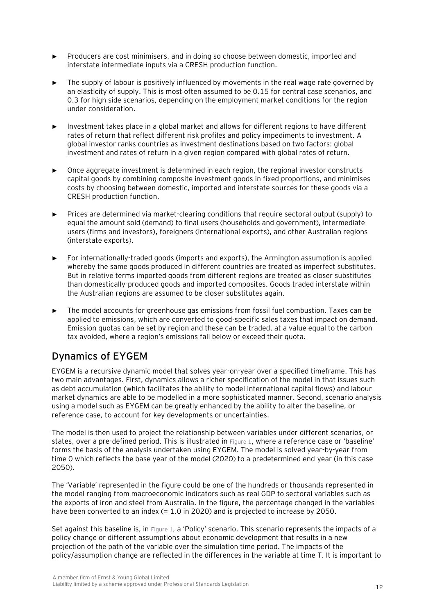- ► Producers are cost minimisers, and in doing so choose between domestic, imported and interstate intermediate inputs via a CRESH production function.
- The supply of labour is positively influenced by movements in the real wage rate governed by an elasticity of supply. This is most often assumed to be 0.15 for central case scenarios, and 0.3 for high side scenarios, depending on the employment market conditions for the region under consideration.
- ► Investment takes place in a global market and allows for different regions to have different rates of return that reflect different risk profiles and policy impediments to investment. A global investor ranks countries as investment destinations based on two factors: global investment and rates of return in a given region compared with global rates of return.
- Once aggregate investment is determined in each region, the regional investor constructs capital goods by combining composite investment goods in fixed proportions, and minimises costs by choosing between domestic, imported and interstate sources for these goods via a CRESH production function.
- Prices are determined via market-clearing conditions that require sectoral output (supply) to equal the amount sold (demand) to final users (households and government), intermediate users (firms and investors), foreigners (international exports), and other Australian regions (interstate exports).
- ► For internationally-traded goods (imports and exports), the Armington assumption is applied whereby the same goods produced in different countries are treated as imperfect substitutes. But in relative terms imported goods from different regions are treated as closer substitutes than domestically-produced goods and imported composites. Goods traded interstate within the Australian regions are assumed to be closer substitutes again.
- The model accounts for greenhouse gas emissions from fossil fuel combustion. Taxes can be applied to emissions, which are converted to good-specific sales taxes that impact on demand. Emission quotas can be set by region and these can be traded, at a value equal to the carbon tax avoided, where a region's emissions fall below or exceed their quota.

## **Dynamics of EYGEM**

EYGEM is a recursive dynamic model that solves year-on-year over a specified timeframe. This has two main advantages. First, dynamics allows a richer specification of the model in that issues such as debt accumulation (which facilitates the ability to model international capital flows) and labour market dynamics are able to be modelled in a more sophisticated manner. Second, scenario analysis using a model such as EYGEM can be greatly enhanced by the ability to alter the baseline, or reference case, to account for key developments or uncertainties.

The model is then used to project the relationship between variables under different scenarios, or states, over a pre-defined period. This is illustrated in [Figure 1](#page-15-0), where a reference case or 'baseline' forms the basis of the analysis undertaken using EYGEM. The model is solved year-by-year from time 0 which reflects the base year of the model (2020) to a predetermined end year (in this case 2050).

The 'Variable' represented in the figure could be one of the hundreds or thousands represented in the model ranging from macroeconomic indicators such as real GDP to sectoral variables such as the exports of iron and steel from Australia. In the figure, the percentage changed in the variables have been converted to an index (= 1.0 in 2020) and is projected to increase by 2050.

Set against this baseline is, in [Figure 1](#page-15-0), a 'Policy' scenario. This scenario represents the impacts of a policy change or different assumptions about economic development that results in a new projection of the path of the variable over the simulation time period. The impacts of the policy/assumption change are reflected in the differences in the variable at time T. It is important to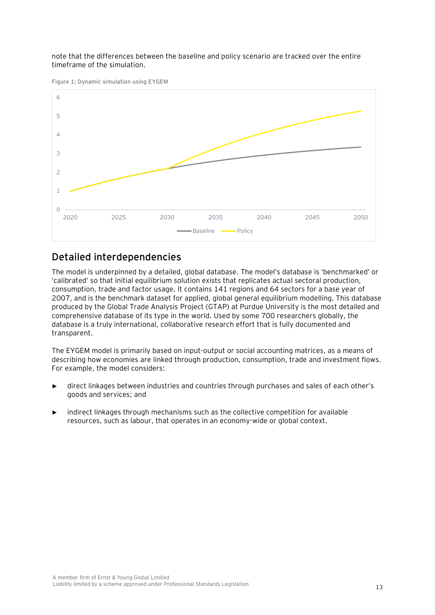#### note that the differences between the baseline and policy scenario are tracked over the entire timeframe of the simulation.

<span id="page-15-0"></span>**Figure 1: Dynamic simulation using EYGEM**



### **Detailed interdependencies**

The model is underpinned by a detailed, global database. The model's database is 'benchmarked' or 'calibrated' so that initial equilibrium solution exists that replicates actual sectoral production, consumption, trade and factor usage. It contains 141 regions and 64 sectors for a base year of 2007, and is the benchmark dataset for applied, global general equilibrium modelling. This database produced by the Global Trade Analysis Project (GTAP) at Purdue University is the most detailed and comprehensive database of its type in the world. Used by some 700 researchers globally, the database is a truly international, collaborative research effort that is fully documented and transparent.

The EYGEM model is primarily based on input-output or social accounting matrices, as a means of describing how economies are linked through production, consumption, trade and investment flows. For example, the model considers:

- direct linkages between industries and countries through purchases and sales of each other's goods and services; and
- indirect linkages through mechanisms such as the collective competition for available resources, such as labour, that operates in an economy-wide or global context.